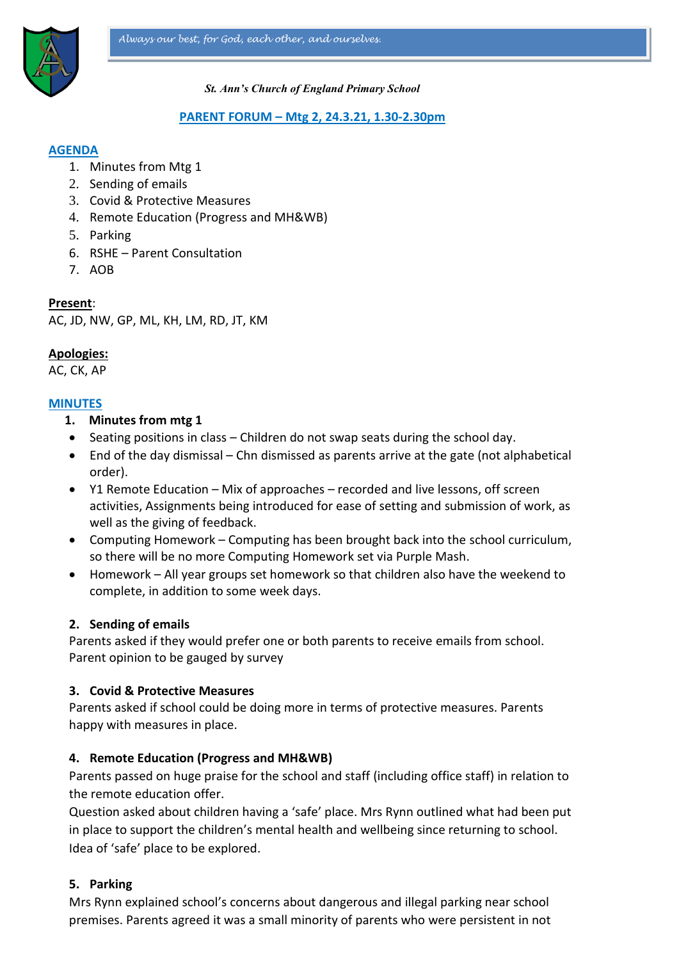

#### *St. Ann's Church of England Primary School*

#### **PARENT FORUM – Mtg 2, 24.3.21, 1.30-2.30pm**

### **AGENDA**

- 1. Minutes from Mtg 1
- 2. Sending of emails
- 3. Covid & Protective Measures
- 4. Remote Education (Progress and MH&WB)
- 5. Parking
- 6. RSHE Parent Consultation
- 7. AOB

### **Present**:

AC, JD, NW, GP, ML, KH, LM, RD, JT, KM

## **Apologies:**

AC, CK, AP

## **MINUTES**

- **1. Minutes from mtg 1**
- Seating positions in class Children do not swap seats during the school day.
- End of the day dismissal Chn dismissed as parents arrive at the gate (not alphabetical order).
- Y1 Remote Education Mix of approaches recorded and live lessons, off screen activities, Assignments being introduced for ease of setting and submission of work, as well as the giving of feedback.
- Computing Homework Computing has been brought back into the school curriculum, so there will be no more Computing Homework set via Purple Mash.
- Homework All year groups set homework so that children also have the weekend to complete, in addition to some week days.

### **2. Sending of emails**

Parents asked if they would prefer one or both parents to receive emails from school. Parent opinion to be gauged by survey

### **3. Covid & Protective Measures**

Parents asked if school could be doing more in terms of protective measures. Parents happy with measures in place.

### **4. Remote Education (Progress and MH&WB)**

Parents passed on huge praise for the school and staff (including office staff) in relation to the remote education offer.

Question asked about children having a 'safe' place. Mrs Rynn outlined what had been put in place to support the children's mental health and wellbeing since returning to school. Idea of 'safe' place to be explored.

## **5. Parking**

Mrs Rynn explained school's concerns about dangerous and illegal parking near school premises. Parents agreed it was a small minority of parents who were persistent in not